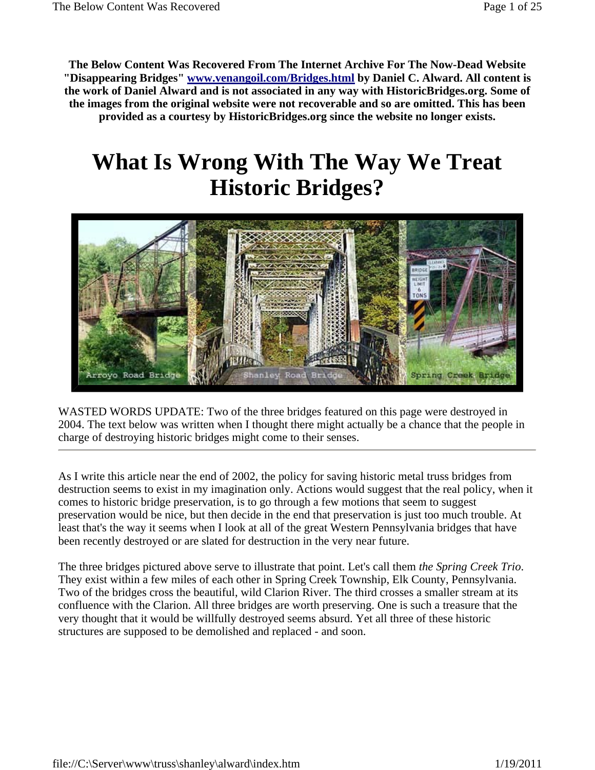**The Below Content Was Recovered From The Internet Archive For The Now-Dead Website "Disappearing Bridges" www.venangoil.com/Bridges.html by Daniel C. Alward. All content is the work of Daniel Alward and is not associated in any way with HistoricBridges.org. Some of the images from the original website were not recoverable and so are omitted. This has been provided as a courtesy by HistoricBridges.org since the website no longer exists.**

## **What Is Wrong With The Way We Treat Historic Bridges?**



WASTED WORDS UPDATE: Two of the three bridges featured on this page were destroyed in 2004. The text below was written when I thought there might actually be a chance that the people in charge of destroying historic bridges might come to their senses.

As I write this article near the end of 2002, the policy for saving historic metal truss bridges from destruction seems to exist in my imagination only. Actions would suggest that the real policy, when it comes to historic bridge preservation, is to go through a few motions that seem to suggest preservation would be nice, but then decide in the end that preservation is just too much trouble. At least that's the way it seems when I look at all of the great Western Pennsylvania bridges that have been recently destroyed or are slated for destruction in the very near future.

The three bridges pictured above serve to illustrate that point. Let's call them *the Spring Creek Trio*. They exist within a few miles of each other in Spring Creek Township, Elk County, Pennsylvania. Two of the bridges cross the beautiful, wild Clarion River. The third crosses a smaller stream at its confluence with the Clarion. All three bridges are worth preserving. One is such a treasure that the very thought that it would be willfully destroyed seems absurd. Yet all three of these historic structures are supposed to be demolished and replaced - and soon.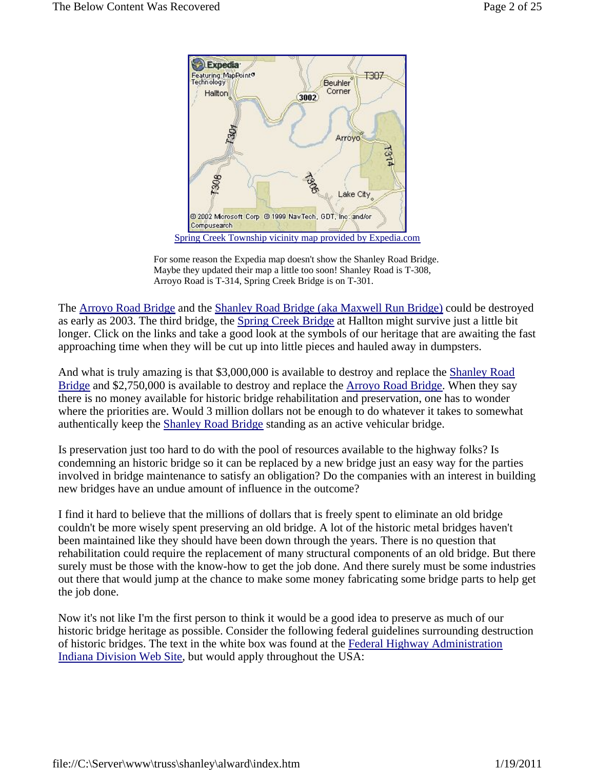

Spring Creek Township vicinity map provided by Expedia.com

For some reason the Expedia map doesn't show the Shanley Road Bridge. Maybe they updated their map a little too soon! Shanley Road is T-308, Arroyo Road is T-314, Spring Creek Bridge is on T-301.

The Arroyo Road Bridge and the Shanley Road Bridge (aka Maxwell Run Bridge) could be destroyed as early as 2003. The third bridge, the Spring Creek Bridge at Hallton might survive just a little bit longer. Click on the links and take a good look at the symbols of our heritage that are awaiting the fast approaching time when they will be cut up into little pieces and hauled away in dumpsters.

And what is truly amazing is that \$3,000,000 is available to destroy and replace the Shanley Road Bridge and \$2,750,000 is available to destroy and replace the Arroyo Road Bridge. When they say there is no money available for historic bridge rehabilitation and preservation, one has to wonder where the priorities are. Would 3 million dollars not be enough to do whatever it takes to somewhat authentically keep the Shanley Road Bridge standing as an active vehicular bridge.

Is preservation just too hard to do with the pool of resources available to the highway folks? Is condemning an historic bridge so it can be replaced by a new bridge just an easy way for the parties involved in bridge maintenance to satisfy an obligation? Do the companies with an interest in building new bridges have an undue amount of influence in the outcome?

I find it hard to believe that the millions of dollars that is freely spent to eliminate an old bridge couldn't be more wisely spent preserving an old bridge. A lot of the historic metal bridges haven't been maintained like they should have been down through the years. There is no question that rehabilitation could require the replacement of many structural components of an old bridge. But there surely must be those with the know-how to get the job done. And there surely must be some industries out there that would jump at the chance to make some money fabricating some bridge parts to help get the job done.

Now it's not like I'm the first person to think it would be a good idea to preserve as much of our historic bridge heritage as possible. Consider the following federal guidelines surrounding destruction of historic bridges. The text in the white box was found at the Federal Highway Administration Indiana Division Web Site, but would apply throughout the USA: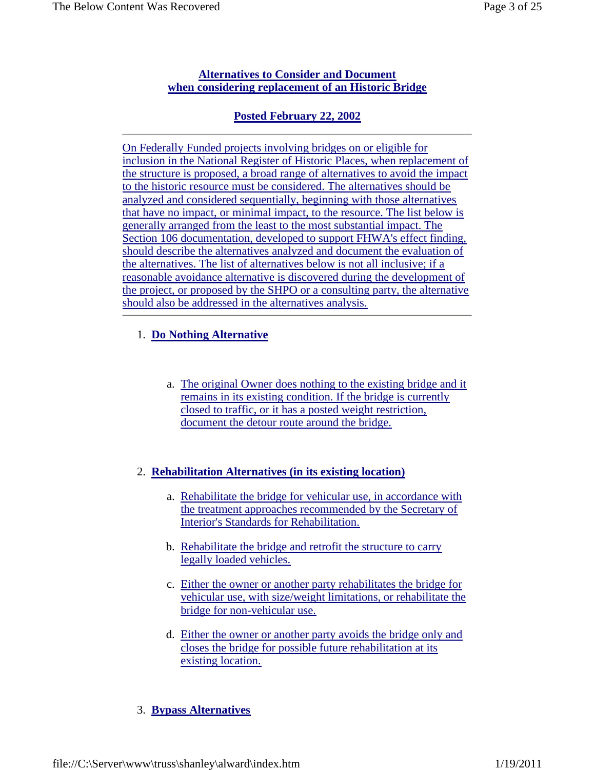#### **Alternatives to Consider and Document when considering replacement of an Historic Bridge**

## **Posted February 22, 2002**

On Federally Funded projects involving bridges on or eligible for inclusion in the National Register of Historic Places, when replacement of the structure is proposed, a broad range of alternatives to avoid the impact to the historic resource must be considered. The alternatives should be analyzed and considered sequentially, beginning with those alternatives that have no impact, or minimal impact, to the resource. The list below is generally arranged from the least to the most substantial impact. The Section 106 documentation, developed to support FHWA's effect finding, should describe the alternatives analyzed and document the evaluation of the alternatives. The list of alternatives below is not all inclusive; if a reasonable avoidance alternative is discovered during the development of the project, or proposed by the SHPO or a consulting party, the alternative should also be addressed in the alternatives analysis.

## 1. **Do Nothing Alternative**

a. The original Owner does nothing to the existing bridge and it remains in its existing condition. If the bridge is currently closed to traffic, or it has a posted weight restriction, document the detour route around the bridge.

## 2. **Rehabilitation Alternatives (in its existing location)**

- a. Rehabilitate the bridge for vehicular use, in accordance with the treatment approaches recommended by the Secretary of Interior's Standards for Rehabilitation.
- b. Rehabilitate the bridge and retrofit the structure to carry legally loaded vehicles.
- c. Either the owner or another party rehabilitates the bridge for vehicular use, with size/weight limitations, or rehabilitate the bridge for non-vehicular use.
- d. Either the owner or another party avoids the bridge only and closes the bridge for possible future rehabilitation at its existing location.

## 3. **Bypass Alternatives**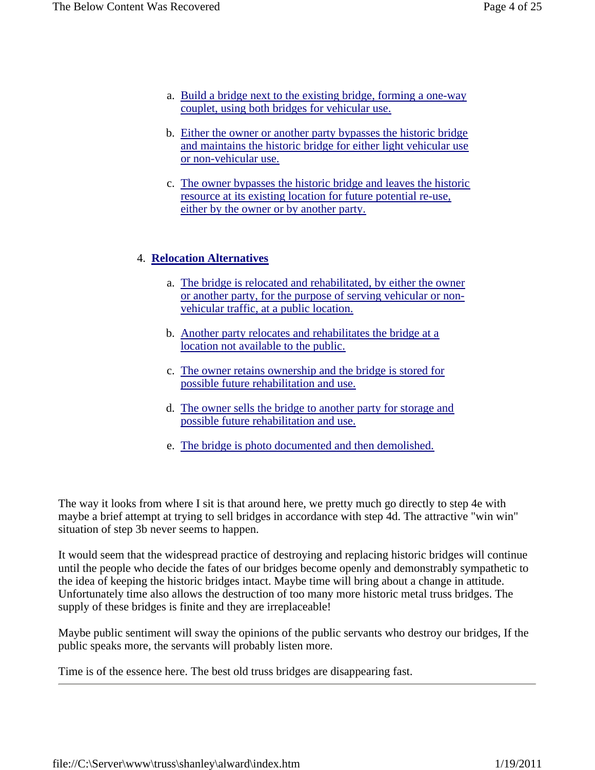- a. Build a bridge next to the existing bridge, forming a one-way couplet, using both bridges for vehicular use.
- b. Either the owner or another party bypasses the historic bridge and maintains the historic bridge for either light vehicular use or non-vehicular use.
- c. The owner bypasses the historic bridge and leaves the historic resource at its existing location for future potential re-use, either by the owner or by another party.

### 4. **Relocation Alternatives**

- a. The bridge is relocated and rehabilitated, by either the owner or another party, for the purpose of serving vehicular or nonvehicular traffic, at a public location.
- b. Another party relocates and rehabilitates the bridge at a location not available to the public.
- c. The owner retains ownership and the bridge is stored for possible future rehabilitation and use.
- d. The owner sells the bridge to another party for storage and possible future rehabilitation and use.
- e. The bridge is photo documented and then demolished.

The way it looks from where I sit is that around here, we pretty much go directly to step 4e with maybe a brief attempt at trying to sell bridges in accordance with step 4d. The attractive "win win" situation of step 3b never seems to happen.

It would seem that the widespread practice of destroying and replacing historic bridges will continue until the people who decide the fates of our bridges become openly and demonstrably sympathetic to the idea of keeping the historic bridges intact. Maybe time will bring about a change in attitude. Unfortunately time also allows the destruction of too many more historic metal truss bridges. The supply of these bridges is finite and they are irreplaceable!

Maybe public sentiment will sway the opinions of the public servants who destroy our bridges, If the public speaks more, the servants will probably listen more.

Time is of the essence here. The best old truss bridges are disappearing fast.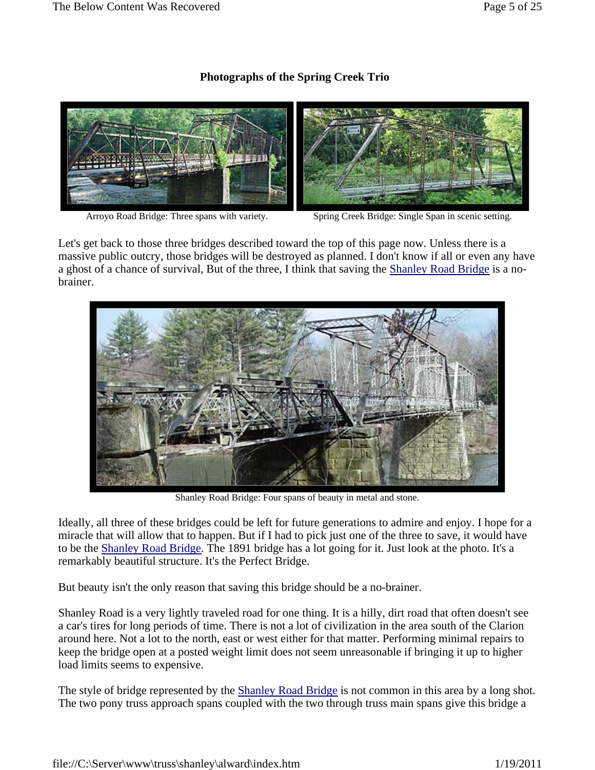## **Photographs of the Spring Creek Trio**



Arroyo Road Bridge: Three spans with variety. Spring Creek Bridge: Single Span in scenic setting.

Let's get back to those three bridges described toward the top of this page now. Unless there is a massive public outcry, those bridges will be destroyed as planned. I don't know if all or even any have a ghost of a chance of survival, But of the three, I think that saving the Shanley Road Bridge is a nobrainer.



Shanley Road Bridge: Four spans of beauty in metal and stone.

Ideally, all three of these bridges could be left for future generations to admire and enjoy. I hope for a miracle that will allow that to happen. But if I had to pick just one of the three to save, it would have to be the Shanley Road Bridge. The 1891 bridge has a lot going for it. Just look at the photo. It's a remarkably beautiful structure. It's the Perfect Bridge.

But beauty isn't the only reason that saving this bridge should be a no-brainer.

Shanley Road is a very lightly traveled road for one thing. It is a hilly, dirt road that often doesn't see a car's tires for long periods of time. There is not a lot of civilization in the area south of the Clarion around here. Not a lot to the north, east or west either for that matter. Performing minimal repairs to keep the bridge open at a posted weight limit does not seem unreasonable if bringing it up to higher load limits seems to expensive.

The style of bridge represented by the Shanley Road Bridge is not common in this area by a long shot. The two pony truss approach spans coupled with the two through truss main spans give this bridge a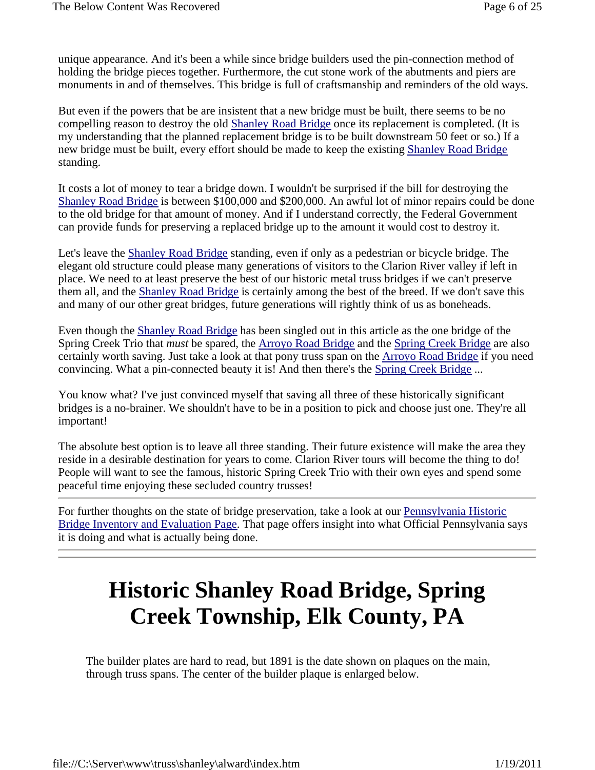unique appearance. And it's been a while since bridge builders used the pin-connection method of holding the bridge pieces together. Furthermore, the cut stone work of the abutments and piers are monuments in and of themselves. This bridge is full of craftsmanship and reminders of the old ways.

But even if the powers that be are insistent that a new bridge must be built, there seems to be no compelling reason to destroy the old Shanley Road Bridge once its replacement is completed. (It is my understanding that the planned replacement bridge is to be built downstream 50 feet or so.) If a new bridge must be built, every effort should be made to keep the existing Shanley Road Bridge standing.

It costs a lot of money to tear a bridge down. I wouldn't be surprised if the bill for destroying the Shanley Road Bridge is between \$100,000 and \$200,000. An awful lot of minor repairs could be done to the old bridge for that amount of money. And if I understand correctly, the Federal Government can provide funds for preserving a replaced bridge up to the amount it would cost to destroy it.

Let's leave the Shanley Road Bridge standing, even if only as a pedestrian or bicycle bridge. The elegant old structure could please many generations of visitors to the Clarion River valley if left in place. We need to at least preserve the best of our historic metal truss bridges if we can't preserve them all, and the Shanley Road Bridge is certainly among the best of the breed. If we don't save this and many of our other great bridges, future generations will rightly think of us as boneheads.

Even though the Shanley Road Bridge has been singled out in this article as the one bridge of the Spring Creek Trio that *must* be spared, the Arroyo Road Bridge and the Spring Creek Bridge are also certainly worth saving. Just take a look at that pony truss span on the Arroyo Road Bridge if you need convincing. What a pin-connected beauty it is! And then there's the Spring Creek Bridge ...

You know what? I've just convinced myself that saving all three of these historically significant bridges is a no-brainer. We shouldn't have to be in a position to pick and choose just one. They're all important!

The absolute best option is to leave all three standing. Their future existence will make the area they reside in a desirable destination for years to come. Clarion River tours will become the thing to do! People will want to see the famous, historic Spring Creek Trio with their own eyes and spend some peaceful time enjoying these secluded country trusses!

For further thoughts on the state of bridge preservation, take a look at our <u>Pennsylvania Historic</u> Bridge Inventory and Evaluation Page. That page offers insight into what Official Pennsylvania says it is doing and what is actually being done.

# **Historic Shanley Road Bridge, Spring Creek Township, Elk County, PA**

The builder plates are hard to read, but 1891 is the date shown on plaques on the main, through truss spans. The center of the builder plaque is enlarged below.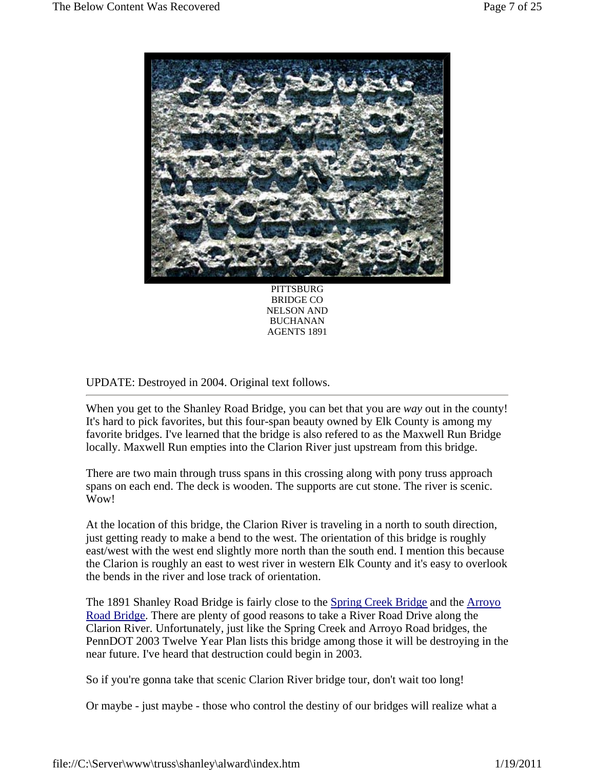

 PITTSBURG BRIDGE CO NELSON AND BUCHANAN AGENTS 1891

### UPDATE: Destroyed in 2004. Original text follows.

When you get to the Shanley Road Bridge, you can bet that you are *way* out in the county! It's hard to pick favorites, but this four-span beauty owned by Elk County is among my favorite bridges. I've learned that the bridge is also refered to as the Maxwell Run Bridge locally. Maxwell Run empties into the Clarion River just upstream from this bridge.

There are two main through truss spans in this crossing along with pony truss approach spans on each end. The deck is wooden. The supports are cut stone. The river is scenic. Wow!

At the location of this bridge, the Clarion River is traveling in a north to south direction, just getting ready to make a bend to the west. The orientation of this bridge is roughly east/west with the west end slightly more north than the south end. I mention this because the Clarion is roughly an east to west river in western Elk County and it's easy to overlook the bends in the river and lose track of orientation.

The 1891 Shanley Road Bridge is fairly close to the Spring Creek Bridge and the Arroyo Road Bridge. There are plenty of good reasons to take a River Road Drive along the Clarion River. Unfortunately, just like the Spring Creek and Arroyo Road bridges, the PennDOT 2003 Twelve Year Plan lists this bridge among those it will be destroying in the near future. I've heard that destruction could begin in 2003.

So if you're gonna take that scenic Clarion River bridge tour, don't wait too long!

Or maybe - just maybe - those who control the destiny of our bridges will realize what a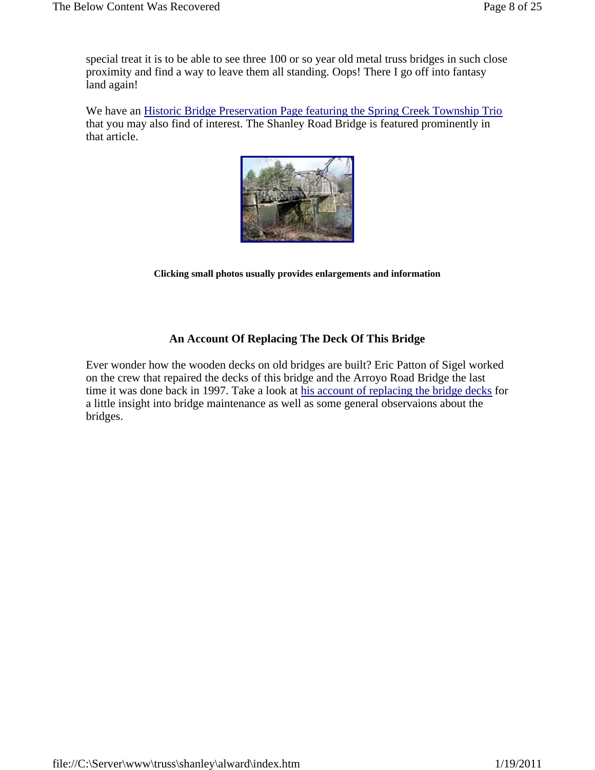special treat it is to be able to see three 100 or so year old metal truss bridges in such close proximity and find a way to leave them all standing. Oops! There I go off into fantasy land again!

We have an Historic Bridge Preservation Page featuring the Spring Creek Township Trio that you may also find of interest. The Shanley Road Bridge is featured prominently in that article.



**Clicking small photos usually provides enlargements and information**

### **An Account Of Replacing The Deck Of This Bridge**

Ever wonder how the wooden decks on old bridges are built? Eric Patton of Sigel worked on the crew that repaired the decks of this bridge and the Arroyo Road Bridge the last time it was done back in 1997. Take a look at his account of replacing the bridge decks for a little insight into bridge maintenance as well as some general observaions about the bridges.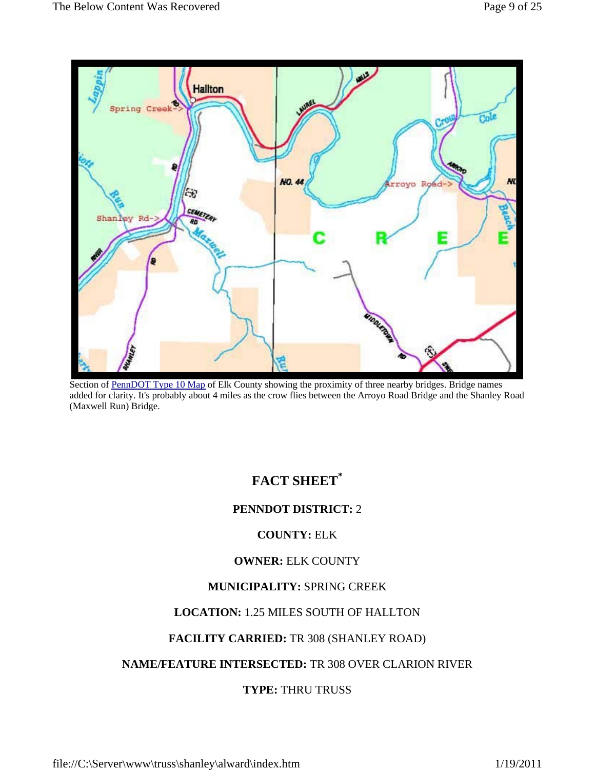

Section of PennDOT Type 10 Map of Elk County showing the proximity of three nearby bridges. Bridge names added for clarity. It's probably about 4 miles as the crow flies between the Arroyo Road Bridge and the Shanley Road (Maxwell Run) Bridge.

## **FACT SHEET\***

## **PENNDOT DISTRICT:** 2

## **COUNTY:** ELK

#### **OWNER:** ELK COUNTY

#### **MUNICIPALITY:** SPRING CREEK

## **LOCATION:** 1.25 MILES SOUTH OF HALLTON

### **FACILITY CARRIED:** TR 308 (SHANLEY ROAD)

## **NAME/FEATURE INTERSECTED:** TR 308 OVER CLARION RIVER

## **TYPE:** THRU TRUSS

file://C:\Server\www\truss\shanley\alward\index.htm 1/19/2011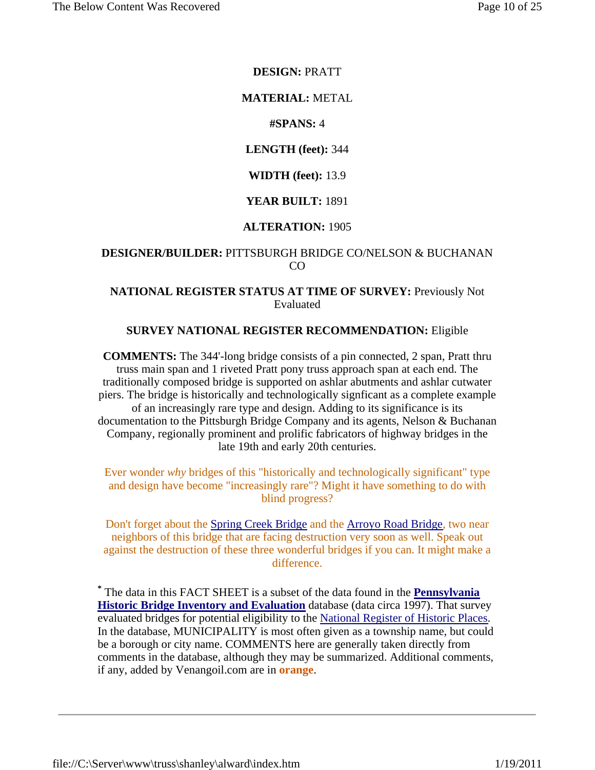#### **DESIGN:** PRATT

#### **MATERIAL:** METAL

#### **#SPANS:** 4

#### **LENGTH (feet):** 344

#### **WIDTH (feet):** 13.9

#### **YEAR BUILT:** 1891

#### **ALTERATION:** 1905

#### **DESIGNER/BUILDER:** PITTSBURGH BRIDGE CO/NELSON & BUCHANAN CO

#### **NATIONAL REGISTER STATUS AT TIME OF SURVEY:** Previously Not Evaluated

#### **SURVEY NATIONAL REGISTER RECOMMENDATION:** Eligible

**COMMENTS:** The 344'-long bridge consists of a pin connected, 2 span, Pratt thru truss main span and 1 riveted Pratt pony truss approach span at each end. The traditionally composed bridge is supported on ashlar abutments and ashlar cutwater piers. The bridge is historically and technologically signficant as a complete example of an increasingly rare type and design. Adding to its significance is its documentation to the Pittsburgh Bridge Company and its agents, Nelson & Buchanan Company, regionally prominent and prolific fabricators of highway bridges in the late 19th and early 20th centuries.

Ever wonder *why* bridges of this "historically and technologically significant" type and design have become "increasingly rare"? Might it have something to do with blind progress?

Don't forget about the Spring Creek Bridge and the Arroyo Road Bridge, two near neighbors of this bridge that are facing destruction very soon as well. Speak out against the destruction of these three wonderful bridges if you can. It might make a difference.

**\*** The data in this FACT SHEET is a subset of the data found in the **Pennsylvania Historic Bridge Inventory and Evaluation** database (data circa 1997). That survey evaluated bridges for potential eligibility to the National Register of Historic Places. In the database, MUNICIPALITY is most often given as a township name, but could be a borough or city name. COMMENTS here are generally taken directly from comments in the database, although they may be summarized. Additional comments, if any, added by Venangoil.com are in **orange**.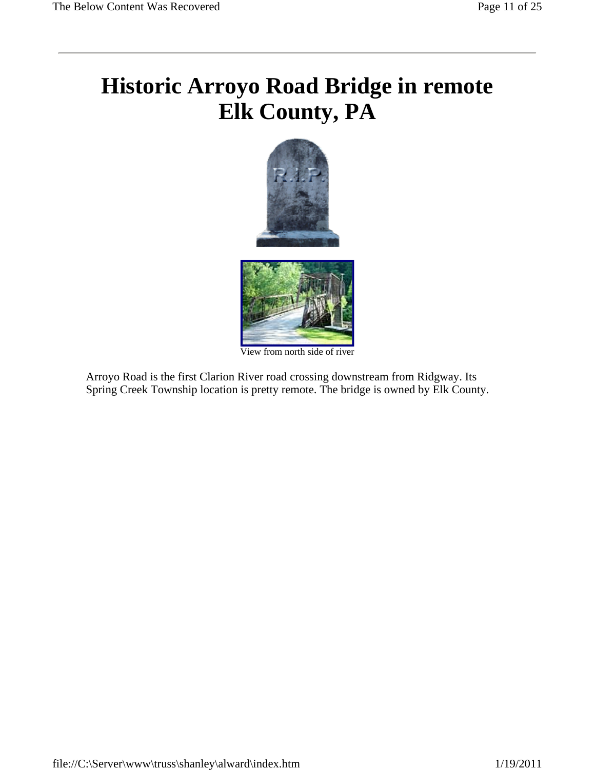# **Historic Arroyo Road Bridge in remote Elk County, PA**



View from north side of river

Arroyo Road is the first Clarion River road crossing downstream from Ridgway. Its Spring Creek Township location is pretty remote. The bridge is owned by Elk County.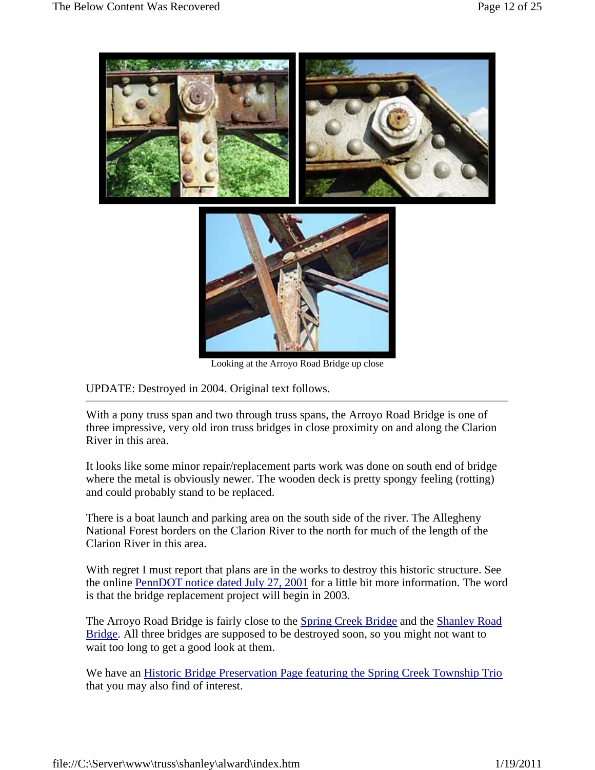

Looking at the Arroyo Road Bridge up close

UPDATE: Destroyed in 2004. Original text follows.

With a pony truss span and two through truss spans, the Arroyo Road Bridge is one of three impressive, very old iron truss bridges in close proximity on and along the Clarion River in this area.

It looks like some minor repair/replacement parts work was done on south end of bridge where the metal is obviously newer. The wooden deck is pretty spongy feeling (rotting) and could probably stand to be replaced.

There is a boat launch and parking area on the south side of the river. The Allegheny National Forest borders on the Clarion River to the north for much of the length of the Clarion River in this area.

With regret I must report that plans are in the works to destroy this historic structure. See the online PennDOT notice dated July 27, 2001 for a little bit more information. The word is that the bridge replacement project will begin in 2003.

The Arroyo Road Bridge is fairly close to the Spring Creek Bridge and the Shanley Road Bridge. All three bridges are supposed to be destroyed soon, so you might not want to wait too long to get a good look at them.

We have an Historic Bridge Preservation Page featuring the Spring Creek Township Trio that you may also find of interest.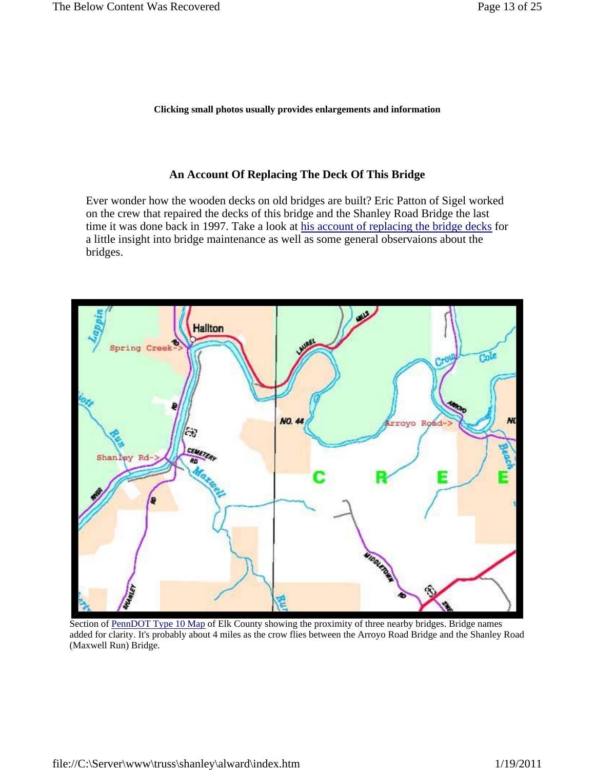**Clicking small photos usually provides enlargements and information**

#### **An Account Of Replacing The Deck Of This Bridge**

Ever wonder how the wooden decks on old bridges are built? Eric Patton of Sigel worked on the crew that repaired the decks of this bridge and the Shanley Road Bridge the last time it was done back in 1997. Take a look at his account of replacing the bridge decks for a little insight into bridge maintenance as well as some general observaions about the bridges.



Section of PennDOT Type 10 Map of Elk County showing the proximity of three nearby bridges. Bridge names added for clarity. It's probably about 4 miles as the crow flies between the Arroyo Road Bridge and the Shanley Road (Maxwell Run) Bridge.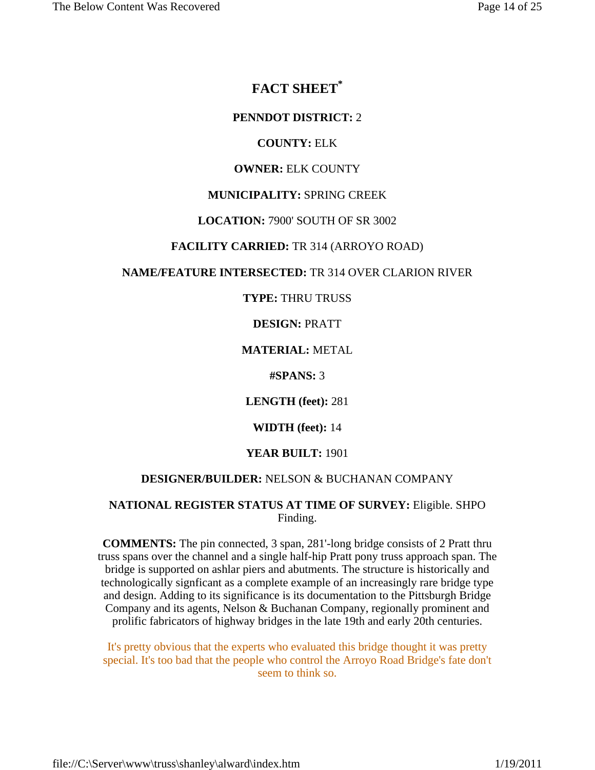## **FACT SHEET\***

#### **PENNDOT DISTRICT:** 2

#### **COUNTY:** ELK

#### **OWNER:** ELK COUNTY

#### **MUNICIPALITY:** SPRING CREEK

#### **LOCATION:** 7900' SOUTH OF SR 3002

#### **FACILITY CARRIED:** TR 314 (ARROYO ROAD)

#### **NAME/FEATURE INTERSECTED:** TR 314 OVER CLARION RIVER

#### **TYPE:** THRU TRUSS

#### **DESIGN:** PRATT

#### **MATERIAL:** METAL

**#SPANS:** 3

**LENGTH (feet):** 281

#### **WIDTH (feet):** 14

#### **YEAR BUILT:** 1901

#### **DESIGNER/BUILDER:** NELSON & BUCHANAN COMPANY

#### **NATIONAL REGISTER STATUS AT TIME OF SURVEY:** Eligible. SHPO Finding.

**COMMENTS:** The pin connected, 3 span, 281'-long bridge consists of 2 Pratt thru truss spans over the channel and a single half-hip Pratt pony truss approach span. The bridge is supported on ashlar piers and abutments. The structure is historically and technologically signficant as a complete example of an increasingly rare bridge type and design. Adding to its significance is its documentation to the Pittsburgh Bridge Company and its agents, Nelson & Buchanan Company, regionally prominent and prolific fabricators of highway bridges in the late 19th and early 20th centuries.

It's pretty obvious that the experts who evaluated this bridge thought it was pretty special. It's too bad that the people who control the Arroyo Road Bridge's fate don't seem to think so.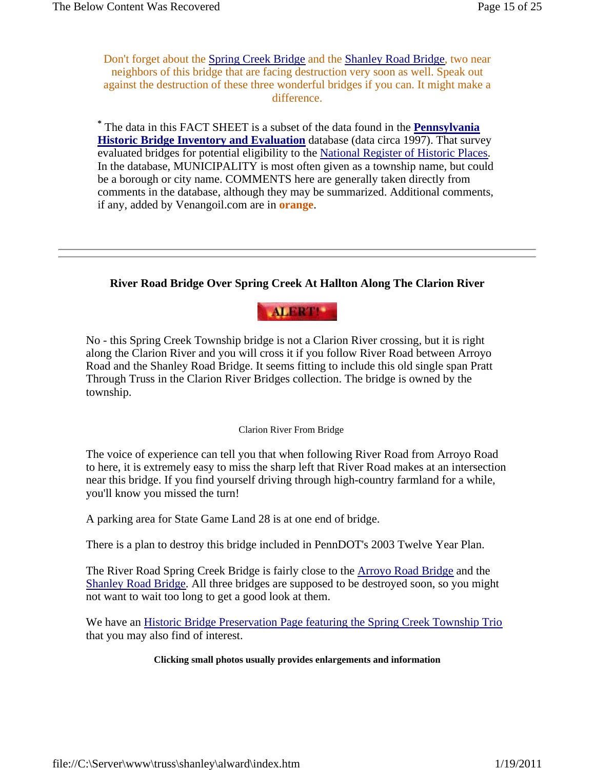Don't forget about the Spring Creek Bridge and the Shanley Road Bridge, two near neighbors of this bridge that are facing destruction very soon as well. Speak out against the destruction of these three wonderful bridges if you can. It might make a difference.

**\*** The data in this FACT SHEET is a subset of the data found in the **Pennsylvania Historic Bridge Inventory and Evaluation** database (data circa 1997). That survey evaluated bridges for potential eligibility to the National Register of Historic Places. In the database, MUNICIPALITY is most often given as a township name, but could be a borough or city name. COMMENTS here are generally taken directly from comments in the database, although they may be summarized. Additional comments, if any, added by Venangoil.com are in **orange**.

## **River Road Bridge Over Spring Creek At Hallton Along The Clarion River**



No - this Spring Creek Township bridge is not a Clarion River crossing, but it is right along the Clarion River and you will cross it if you follow River Road between Arroyo Road and the Shanley Road Bridge. It seems fitting to include this old single span Pratt Through Truss in the Clarion River Bridges collection. The bridge is owned by the township.

#### Clarion River From Bridge

The voice of experience can tell you that when following River Road from Arroyo Road to here, it is extremely easy to miss the sharp left that River Road makes at an intersection near this bridge. If you find yourself driving through high-country farmland for a while, you'll know you missed the turn!

A parking area for State Game Land 28 is at one end of bridge.

There is a plan to destroy this bridge included in PennDOT's 2003 Twelve Year Plan.

The River Road Spring Creek Bridge is fairly close to the Arroyo Road Bridge and the Shanley Road Bridge. All three bridges are supposed to be destroyed soon, so you might not want to wait too long to get a good look at them.

We have an Historic Bridge Preservation Page featuring the Spring Creek Township Trio that you may also find of interest.

#### **Clicking small photos usually provides enlargements and information**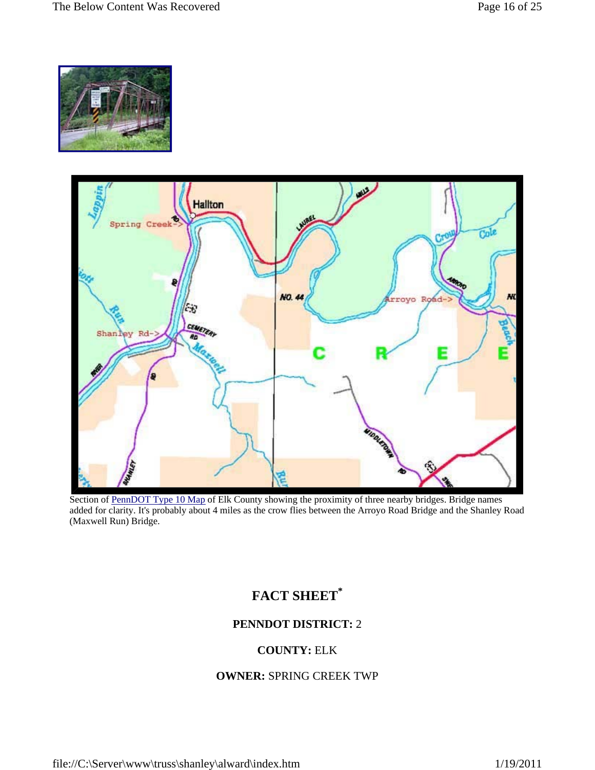



Section of PennDOT Type 10 Map of Elk County showing the proximity of three nearby bridges. Bridge names added for clarity. It's probably about 4 miles as the crow flies between the Arroyo Road Bridge and the Shanley Road (Maxwell Run) Bridge.

## **FACT SHEET\***

## **PENNDOT DISTRICT:** 2

## **COUNTY:** ELK

#### **OWNER:** SPRING CREEK TWP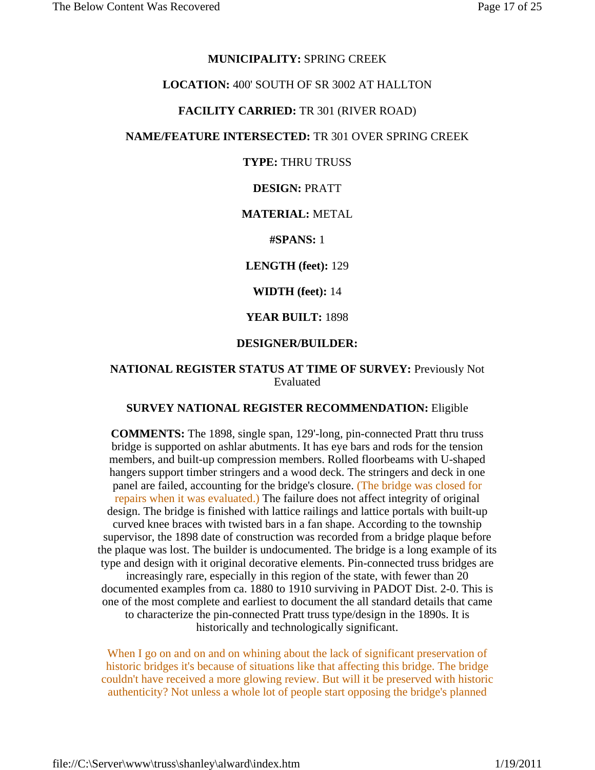#### **MUNICIPALITY:** SPRING CREEK

#### **LOCATION:** 400' SOUTH OF SR 3002 AT HALLTON

#### **FACILITY CARRIED:** TR 301 (RIVER ROAD)

#### **NAME/FEATURE INTERSECTED:** TR 301 OVER SPRING CREEK

#### **TYPE:** THRU TRUSS

#### **DESIGN:** PRATT

#### **MATERIAL:** METAL

#### **#SPANS:** 1

#### **LENGTH (feet):** 129

#### **WIDTH (feet):** 14

#### **YEAR BUILT:** 1898

#### **DESIGNER/BUILDER:**

#### **NATIONAL REGISTER STATUS AT TIME OF SURVEY:** Previously Not Evaluated

#### **SURVEY NATIONAL REGISTER RECOMMENDATION:** Eligible

**COMMENTS:** The 1898, single span, 129'-long, pin-connected Pratt thru truss bridge is supported on ashlar abutments. It has eye bars and rods for the tension members, and built-up compression members. Rolled floorbeams with U-shaped hangers support timber stringers and a wood deck. The stringers and deck in one panel are failed, accounting for the bridge's closure. (The bridge was closed for repairs when it was evaluated.) The failure does not affect integrity of original design. The bridge is finished with lattice railings and lattice portals with built-up curved knee braces with twisted bars in a fan shape. According to the township supervisor, the 1898 date of construction was recorded from a bridge plaque before the plaque was lost. The builder is undocumented. The bridge is a long example of its type and design with it original decorative elements. Pin-connected truss bridges are increasingly rare, especially in this region of the state, with fewer than 20 documented examples from ca. 1880 to 1910 surviving in PADOT Dist. 2-0. This is one of the most complete and earliest to document the all standard details that came to characterize the pin-connected Pratt truss type/design in the 1890s. It is historically and technologically significant.

When I go on and on and on whining about the lack of significant preservation of historic bridges it's because of situations like that affecting this bridge. The bridge couldn't have received a more glowing review. But will it be preserved with historic authenticity? Not unless a whole lot of people start opposing the bridge's planned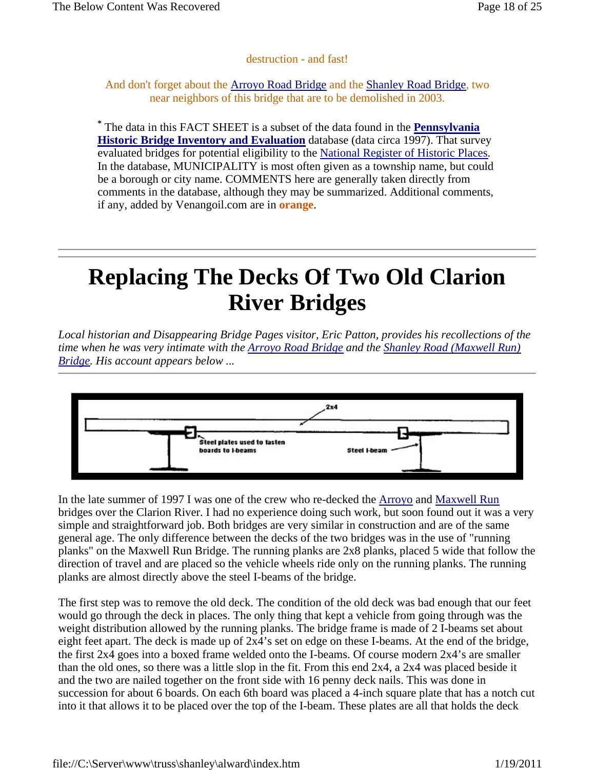### destruction - and fast!

#### And don't forget about the Arroyo Road Bridge and the Shanley Road Bridge, two near neighbors of this bridge that are to be demolished in 2003.

**\*** The data in this FACT SHEET is a subset of the data found in the **Pennsylvania Historic Bridge Inventory and Evaluation** database (data circa 1997). That survey evaluated bridges for potential eligibility to the National Register of Historic Places. In the database, MUNICIPALITY is most often given as a township name, but could be a borough or city name. COMMENTS here are generally taken directly from comments in the database, although they may be summarized. Additional comments, if any, added by Venangoil.com are in **orange**.

# **Replacing The Decks Of Two Old Clarion River Bridges**

*Local historian and Disappearing Bridge Pages visitor, Eric Patton, provides his recollections of the time when he was very intimate with the Arroyo Road Bridge and the Shanley Road (Maxwell Run) Bridge. His account appears below ...* 



In the late summer of 1997 I was one of the crew who re-decked the Arroyo and Maxwell Run bridges over the Clarion River. I had no experience doing such work, but soon found out it was a very simple and straightforward job. Both bridges are very similar in construction and are of the same general age. The only difference between the decks of the two bridges was in the use of "running planks" on the Maxwell Run Bridge. The running planks are 2x8 planks, placed 5 wide that follow the direction of travel and are placed so the vehicle wheels ride only on the running planks. The running planks are almost directly above the steel I-beams of the bridge.

The first step was to remove the old deck. The condition of the old deck was bad enough that our feet would go through the deck in places. The only thing that kept a vehicle from going through was the weight distribution allowed by the running planks. The bridge frame is made of 2 I-beams set about eight feet apart. The deck is made up of 2x4's set on edge on these I-beams. At the end of the bridge, the first 2x4 goes into a boxed frame welded onto the I-beams. Of course modern 2x4's are smaller than the old ones, so there was a little slop in the fit. From this end 2x4, a 2x4 was placed beside it and the two are nailed together on the front side with 16 penny deck nails. This was done in succession for about 6 boards. On each 6th board was placed a 4-inch square plate that has a notch cut into it that allows it to be placed over the top of the I-beam. These plates are all that holds the deck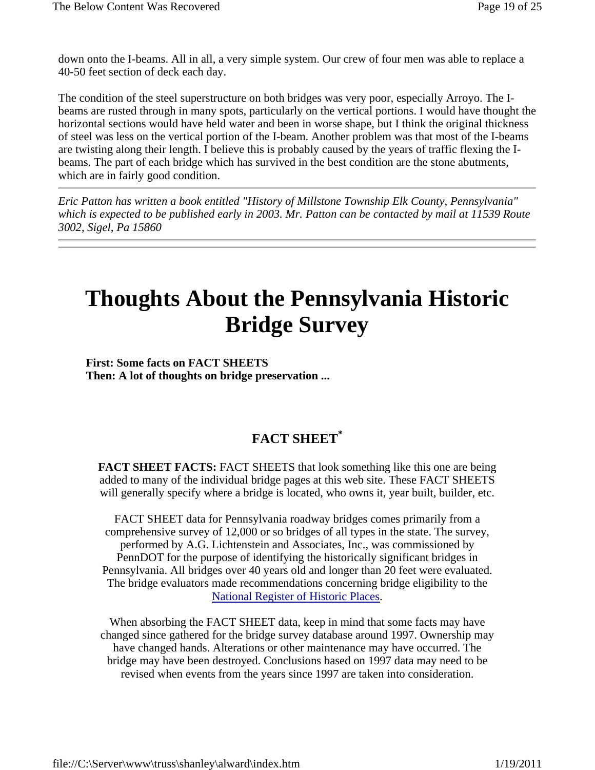down onto the I-beams. All in all, a very simple system. Our crew of four men was able to replace a 40-50 feet section of deck each day.

The condition of the steel superstructure on both bridges was very poor, especially Arroyo. The Ibeams are rusted through in many spots, particularly on the vertical portions. I would have thought the horizontal sections would have held water and been in worse shape, but I think the original thickness of steel was less on the vertical portion of the I-beam. Another problem was that most of the I-beams are twisting along their length. I believe this is probably caused by the years of traffic flexing the Ibeams. The part of each bridge which has survived in the best condition are the stone abutments, which are in fairly good condition.

*Eric Patton has written a book entitled "History of Millstone Township Elk County, Pennsylvania" which is expected to be published early in 2003. Mr. Patton can be contacted by mail at 11539 Route 3002, Sigel, Pa 15860* 

# **Thoughts About the Pennsylvania Historic Bridge Survey**

**First: Some facts on FACT SHEETS Then: A lot of thoughts on bridge preservation ...** 

## **FACT SHEET\***

**FACT SHEET FACTS:** FACT SHEETS that look something like this one are being added to many of the individual bridge pages at this web site. These FACT SHEETS will generally specify where a bridge is located, who owns it, year built, builder, etc.

FACT SHEET data for Pennsylvania roadway bridges comes primarily from a comprehensive survey of 12,000 or so bridges of all types in the state. The survey, performed by A.G. Lichtenstein and Associates, Inc., was commissioned by PennDOT for the purpose of identifying the historically significant bridges in Pennsylvania. All bridges over 40 years old and longer than 20 feet were evaluated. The bridge evaluators made recommendations concerning bridge eligibility to the National Register of Historic Places.

When absorbing the FACT SHEET data, keep in mind that some facts may have changed since gathered for the bridge survey database around 1997. Ownership may have changed hands. Alterations or other maintenance may have occurred. The bridge may have been destroyed. Conclusions based on 1997 data may need to be revised when events from the years since 1997 are taken into consideration.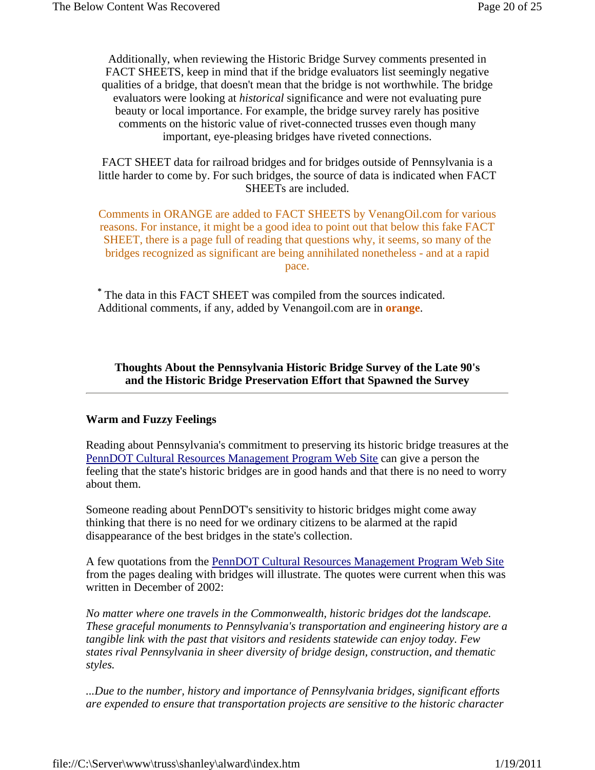Additionally, when reviewing the Historic Bridge Survey comments presented in FACT SHEETS, keep in mind that if the bridge evaluators list seemingly negative qualities of a bridge, that doesn't mean that the bridge is not worthwhile. The bridge evaluators were looking at *historical* significance and were not evaluating pure beauty or local importance. For example, the bridge survey rarely has positive comments on the historic value of rivet-connected trusses even though many important, eye-pleasing bridges have riveted connections.

FACT SHEET data for railroad bridges and for bridges outside of Pennsylvania is a little harder to come by. For such bridges, the source of data is indicated when FACT SHEETs are included.

Comments in ORANGE are added to FACT SHEETS by VenangOil.com for various reasons. For instance, it might be a good idea to point out that below this fake FACT SHEET, there is a page full of reading that questions why, it seems, so many of the bridges recognized as significant are being annihilated nonetheless - and at a rapid pace.

**\*** The data in this FACT SHEET was compiled from the sources indicated. Additional comments, if any, added by Venangoil.com are in **orange**.

**Thoughts About the Pennsylvania Historic Bridge Survey of the Late 90's and the Historic Bridge Preservation Effort that Spawned the Survey**

#### **Warm and Fuzzy Feelings**

Reading about Pennsylvania's commitment to preserving its historic bridge treasures at the PennDOT Cultural Resources Management Program Web Site can give a person the feeling that the state's historic bridges are in good hands and that there is no need to worry about them.

Someone reading about PennDOT's sensitivity to historic bridges might come away thinking that there is no need for we ordinary citizens to be alarmed at the rapid disappearance of the best bridges in the state's collection.

A few quotations from the PennDOT Cultural Resources Management Program Web Site from the pages dealing with bridges will illustrate. The quotes were current when this was written in December of 2002:

*No matter where one travels in the Commonwealth, historic bridges dot the landscape. These graceful monuments to Pennsylvania's transportation and engineering history are a tangible link with the past that visitors and residents statewide can enjoy today. Few states rival Pennsylvania in sheer diversity of bridge design, construction, and thematic styles.* 

*...Due to the number, history and importance of Pennsylvania bridges, significant efforts are expended to ensure that transportation projects are sensitive to the historic character*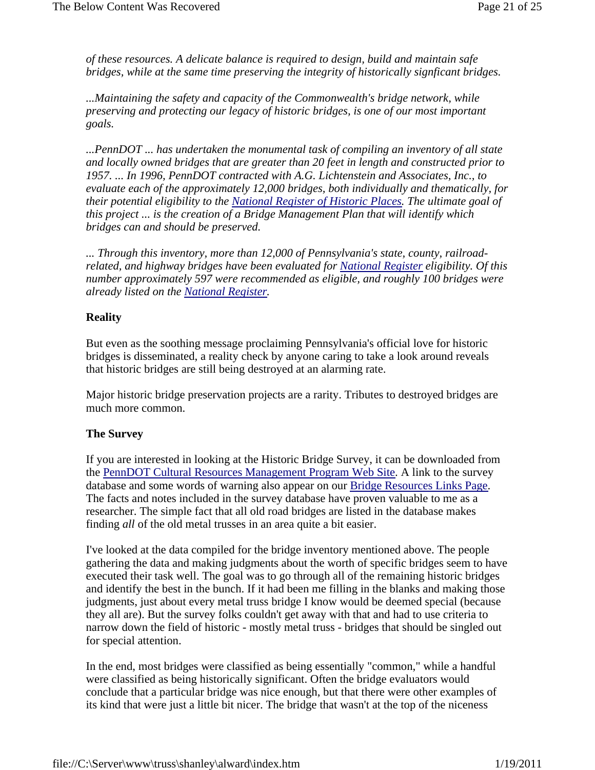*of these resources. A delicate balance is required to design, build and maintain safe bridges, while at the same time preserving the integrity of historically signficant bridges.* 

*...Maintaining the safety and capacity of the Commonwealth's bridge network, while preserving and protecting our legacy of historic bridges, is one of our most important goals.* 

*...PennDOT ... has undertaken the monumental task of compiling an inventory of all state and locally owned bridges that are greater than 20 feet in length and constructed prior to 1957. ... In 1996, PennDOT contracted with A.G. Lichtenstein and Associates, Inc., to evaluate each of the approximately 12,000 bridges, both individually and thematically, for their potential eligibility to the National Register of Historic Places. The ultimate goal of this project ... is the creation of a Bridge Management Plan that will identify which bridges can and should be preserved.* 

*... Through this inventory, more than 12,000 of Pennsylvania's state, county, railroadrelated, and highway bridges have been evaluated for National Register eligibility. Of this number approximately 597 were recommended as eligible, and roughly 100 bridges were already listed on the National Register.* 

### **Reality**

But even as the soothing message proclaiming Pennsylvania's official love for historic bridges is disseminated, a reality check by anyone caring to take a look around reveals that historic bridges are still being destroyed at an alarming rate.

Major historic bridge preservation projects are a rarity. Tributes to destroyed bridges are much more common.

#### **The Survey**

If you are interested in looking at the Historic Bridge Survey, it can be downloaded from the PennDOT Cultural Resources Management Program Web Site. A link to the survey database and some words of warning also appear on our Bridge Resources Links Page. The facts and notes included in the survey database have proven valuable to me as a researcher. The simple fact that all old road bridges are listed in the database makes finding *all* of the old metal trusses in an area quite a bit easier.

I've looked at the data compiled for the bridge inventory mentioned above. The people gathering the data and making judgments about the worth of specific bridges seem to have executed their task well. The goal was to go through all of the remaining historic bridges and identify the best in the bunch. If it had been me filling in the blanks and making those judgments, just about every metal truss bridge I know would be deemed special (because they all are). But the survey folks couldn't get away with that and had to use criteria to narrow down the field of historic - mostly metal truss - bridges that should be singled out for special attention.

In the end, most bridges were classified as being essentially "common," while a handful were classified as being historically significant. Often the bridge evaluators would conclude that a particular bridge was nice enough, but that there were other examples of its kind that were just a little bit nicer. The bridge that wasn't at the top of the niceness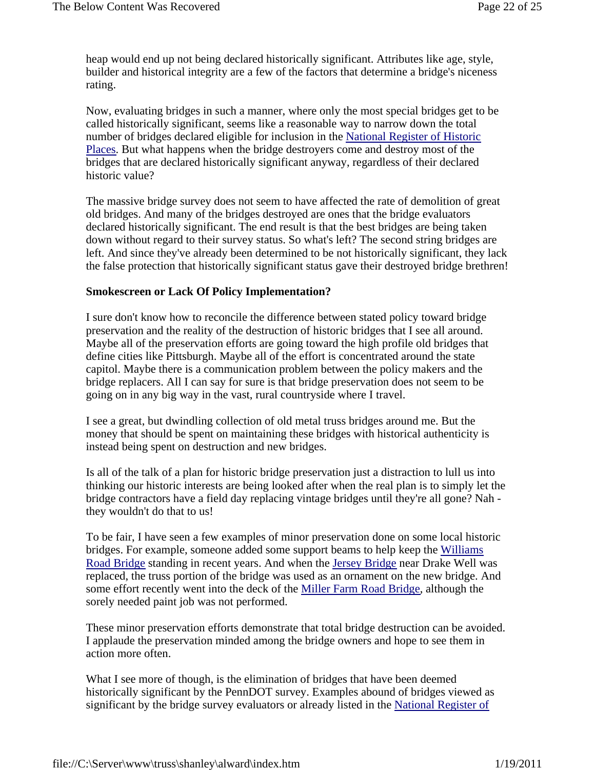heap would end up not being declared historically significant. Attributes like age, style, builder and historical integrity are a few of the factors that determine a bridge's niceness rating.

Now, evaluating bridges in such a manner, where only the most special bridges get to be called historically significant, seems like a reasonable way to narrow down the total number of bridges declared eligible for inclusion in the National Register of Historic Places. But what happens when the bridge destroyers come and destroy most of the bridges that are declared historically significant anyway, regardless of their declared historic value?

The massive bridge survey does not seem to have affected the rate of demolition of great old bridges. And many of the bridges destroyed are ones that the bridge evaluators declared historically significant. The end result is that the best bridges are being taken down without regard to their survey status. So what's left? The second string bridges are left. And since they've already been determined to be not historically significant, they lack the false protection that historically significant status gave their destroyed bridge brethren!

#### **Smokescreen or Lack Of Policy Implementation?**

I sure don't know how to reconcile the difference between stated policy toward bridge preservation and the reality of the destruction of historic bridges that I see all around. Maybe all of the preservation efforts are going toward the high profile old bridges that define cities like Pittsburgh. Maybe all of the effort is concentrated around the state capitol. Maybe there is a communication problem between the policy makers and the bridge replacers. All I can say for sure is that bridge preservation does not seem to be going on in any big way in the vast, rural countryside where I travel.

I see a great, but dwindling collection of old metal truss bridges around me. But the money that should be spent on maintaining these bridges with historical authenticity is instead being spent on destruction and new bridges.

Is all of the talk of a plan for historic bridge preservation just a distraction to lull us into thinking our historic interests are being looked after when the real plan is to simply let the bridge contractors have a field day replacing vintage bridges until they're all gone? Nah they wouldn't do that to us!

To be fair, I have seen a few examples of minor preservation done on some local historic bridges. For example, someone added some support beams to help keep the Williams Road Bridge standing in recent years. And when the Jersey Bridge near Drake Well was replaced, the truss portion of the bridge was used as an ornament on the new bridge. And some effort recently went into the deck of the Miller Farm Road Bridge, although the sorely needed paint job was not performed.

These minor preservation efforts demonstrate that total bridge destruction can be avoided. I applaude the preservation minded among the bridge owners and hope to see them in action more often.

What I see more of though, is the elimination of bridges that have been deemed historically significant by the PennDOT survey. Examples abound of bridges viewed as significant by the bridge survey evaluators or already listed in the National Register of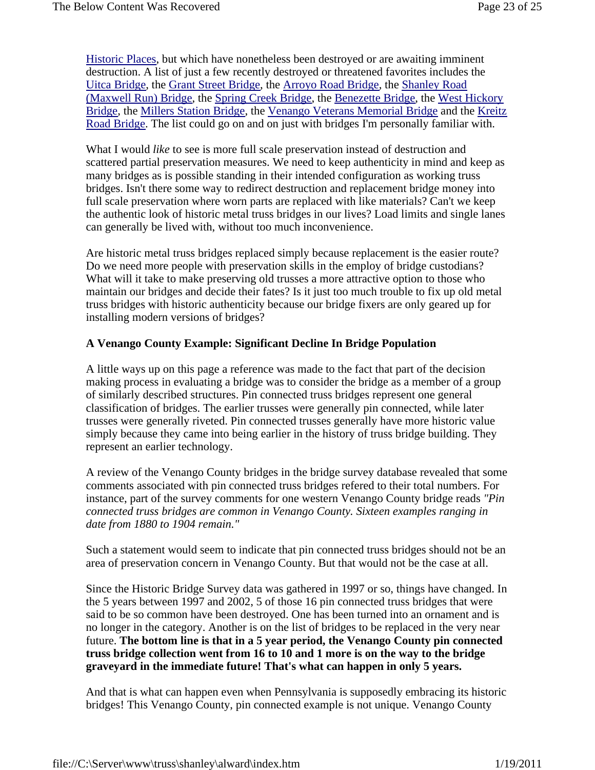Historic Places, but which have nonetheless been destroyed or are awaiting imminent destruction. A list of just a few recently destroyed or threatened favorites includes the Uitca Bridge, the Grant Street Bridge, the Arroyo Road Bridge, the Shanley Road (Maxwell Run) Bridge, the Spring Creek Bridge, the Benezette Bridge, the West Hickory Bridge, the Millers Station Bridge, the Venango Veterans Memorial Bridge and the Kreitz Road Bridge. The list could go on and on just with bridges I'm personally familiar with.

What I would *like* to see is more full scale preservation instead of destruction and scattered partial preservation measures. We need to keep authenticity in mind and keep as many bridges as is possible standing in their intended configuration as working truss bridges. Isn't there some way to redirect destruction and replacement bridge money into full scale preservation where worn parts are replaced with like materials? Can't we keep the authentic look of historic metal truss bridges in our lives? Load limits and single lanes can generally be lived with, without too much inconvenience.

Are historic metal truss bridges replaced simply because replacement is the easier route? Do we need more people with preservation skills in the employ of bridge custodians? What will it take to make preserving old trusses a more attractive option to those who maintain our bridges and decide their fates? Is it just too much trouble to fix up old metal truss bridges with historic authenticity because our bridge fixers are only geared up for installing modern versions of bridges?

#### **A Venango County Example: Significant Decline In Bridge Population**

A little ways up on this page a reference was made to the fact that part of the decision making process in evaluating a bridge was to consider the bridge as a member of a group of similarly described structures. Pin connected truss bridges represent one general classification of bridges. The earlier trusses were generally pin connected, while later trusses were generally riveted. Pin connected trusses generally have more historic value simply because they came into being earlier in the history of truss bridge building. They represent an earlier technology.

A review of the Venango County bridges in the bridge survey database revealed that some comments associated with pin connected truss bridges refered to their total numbers. For instance, part of the survey comments for one western Venango County bridge reads *"Pin connected truss bridges are common in Venango County. Sixteen examples ranging in date from 1880 to 1904 remain."*

Such a statement would seem to indicate that pin connected truss bridges should not be an area of preservation concern in Venango County. But that would not be the case at all.

Since the Historic Bridge Survey data was gathered in 1997 or so, things have changed. In the 5 years between 1997 and 2002, 5 of those 16 pin connected truss bridges that were said to be so common have been destroyed. One has been turned into an ornament and is no longer in the category. Another is on the list of bridges to be replaced in the very near future. **The bottom line is that in a 5 year period, the Venango County pin connected truss bridge collection went from 16 to 10 and 1 more is on the way to the bridge graveyard in the immediate future! That's what can happen in only 5 years.**

And that is what can happen even when Pennsylvania is supposedly embracing its historic bridges! This Venango County, pin connected example is not unique. Venango County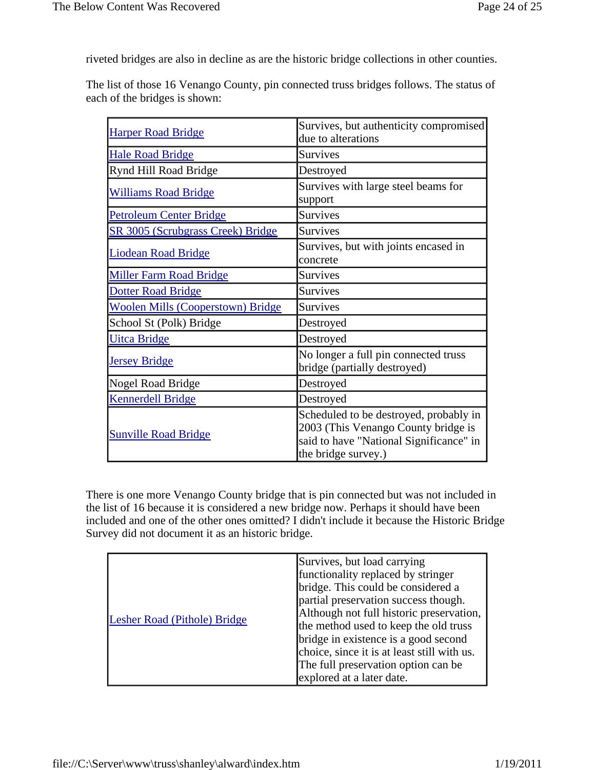riveted bridges are also in decline as are the historic bridge collections in other counties.

The list of those 16 Venango County, pin connected truss bridges follows. The status of each of the bridges is shown:

| <b>Harper Road Bridge</b>                | Survives, but authenticity compromised<br>due to alterations                                                                                    |
|------------------------------------------|-------------------------------------------------------------------------------------------------------------------------------------------------|
| <b>Hale Road Bridge</b>                  | <b>Survives</b>                                                                                                                                 |
| Rynd Hill Road Bridge                    | Destroyed                                                                                                                                       |
| <b>Williams Road Bridge</b>              | Survives with large steel beams for<br>support                                                                                                  |
| <b>Petroleum Center Bridge</b>           | <b>Survives</b>                                                                                                                                 |
| SR 3005 (Scrubgrass Creek) Bridge        | <b>Survives</b>                                                                                                                                 |
| <b>Liodean Road Bridge</b>               | Survives, but with joints encased in<br>concrete                                                                                                |
| <b>Miller Farm Road Bridge</b>           | <b>Survives</b>                                                                                                                                 |
| <b>Dotter Road Bridge</b>                | <b>Survives</b>                                                                                                                                 |
| <b>Woolen Mills (Cooperstown) Bridge</b> | <b>Survives</b>                                                                                                                                 |
| School St (Polk) Bridge                  | Destroyed                                                                                                                                       |
| <b>Uitca Bridge</b>                      | Destroyed                                                                                                                                       |
| <b>Jersey Bridge</b>                     | No longer a full pin connected truss<br>bridge (partially destroyed)                                                                            |
| Nogel Road Bridge                        | Destroyed                                                                                                                                       |
| <b>Kennerdell Bridge</b>                 | Destroyed                                                                                                                                       |
| <b>Sunville Road Bridge</b>              | Scheduled to be destroyed, probably in<br>2003 (This Venango County bridge is<br>said to have "National Significance" in<br>the bridge survey.) |

There is one more Venango County bridge that is pin connected but was not included in the list of 16 because it is considered a new bridge now. Perhaps it should have been included and one of the other ones omitted? I didn't include it because the Historic Bridge Survey did not document it as an historic bridge.

| Lesher Road (Pithole) Bridge | Survives, but load carrying<br>functionality replaced by stringer<br>bridge. This could be considered a<br>partial preservation success though.<br>Although not full historic preservation,<br>the method used to keep the old truss<br>bridge in existence is a good second<br>choice, since it is at least still with us.<br>The full preservation option can be<br>explored at a later date. |
|------------------------------|-------------------------------------------------------------------------------------------------------------------------------------------------------------------------------------------------------------------------------------------------------------------------------------------------------------------------------------------------------------------------------------------------|
|------------------------------|-------------------------------------------------------------------------------------------------------------------------------------------------------------------------------------------------------------------------------------------------------------------------------------------------------------------------------------------------------------------------------------------------|